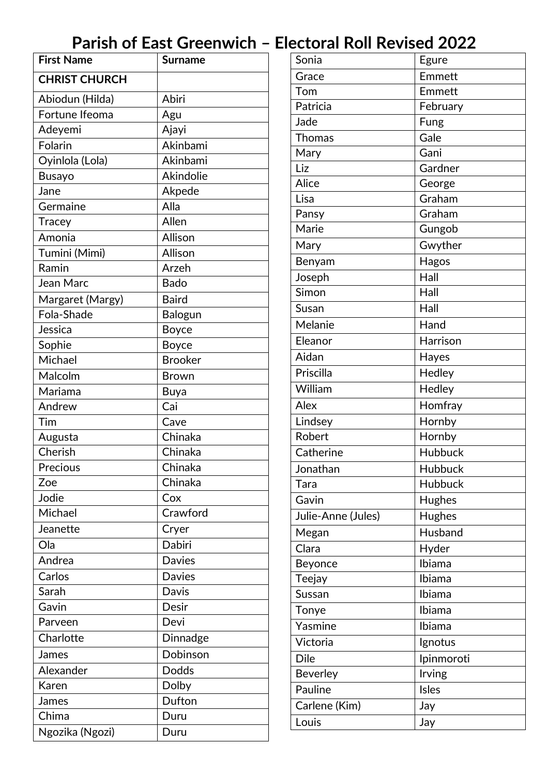## **Parish of East Greenwich – Electoral Roll Revised 2022**

| <b>First Name</b>    | <b>Surname</b> |
|----------------------|----------------|
| <b>CHRIST CHURCH</b> |                |
| Abiodun (Hilda)      | Abiri          |
| Fortune Ifeoma       | Agu            |
| Adeyemi              | Ajayi          |
| Folarin              | Akinbami       |
| Oyinlola (Lola)      | Akinbami       |
| <b>Busayo</b>        | Akindolie      |
| Jane                 | Akpede         |
| Germaine             | Alla           |
| Tracey               | Allen          |
| Amonia               | Allison        |
| Tumini (Mimi)        | Allison        |
| Ramin                | Arzeh          |
| Jean Marc            | <b>Bado</b>    |
| Margaret (Margy)     | <b>Baird</b>   |
| Fola-Shade           | Balogun        |
| Jessica              | Boyce          |
| Sophie               | <b>Boyce</b>   |
| Michael              | <b>Brooker</b> |
| Malcolm              | <b>Brown</b>   |
| Mariama              | Buya           |
| Andrew               | Cai            |
| Tim                  | Cave           |
| Augusta              | Chinaka        |
| Cherish              | Chinaka        |
| Precious             | Chinaka        |
| Zoe                  | Chinaka        |
| Jodie                | Cox            |
| Michael              | Crawford       |
| Jeanette             | Cryer          |
| Ola                  | Dabiri         |
| Andrea               | <b>Davies</b>  |
| Carlos               | <b>Davies</b>  |
| Sarah                | Davis          |
| Gavin                | Desir          |
| Parveen              | Devi           |
| Charlotte            | Dinnadge       |
| James                | Dobinson       |
| Alexander            | Dodds          |
| Karen                | Dolby          |
| James                | Dufton         |
| Chima                | Duru           |
| Ngozika (Ngozi)      | Duru           |

| Sonia              | Egure          |
|--------------------|----------------|
| Grace              | <b>Emmett</b>  |
| Tom                | Emmett         |
| Patricia           | February       |
| Jade               | Fung           |
| Thomas             | Gale           |
| Mary               | Gani           |
| Liz                | Gardner        |
| Alice              | George         |
| Lisa               | Graham         |
| Pansy              | Graham         |
| Marie              | Gungob         |
| Mary               | Gwyther        |
| Benyam             | Hagos          |
| Joseph             | Hall           |
| Simon              | Hall           |
| Susan              | Hall           |
| Melanie            | Hand           |
| Eleanor            | Harrison       |
| Aidan              | <b>Hayes</b>   |
| Priscilla          | Hedley         |
| William            | Hedley         |
| Alex               | Homfray        |
| Lindsey            | Hornby         |
| Robert             | Hornby         |
| Catherine          | <b>Hubbuck</b> |
| Jonathan           | Hubbuck        |
| Tara               | <b>Hubbuck</b> |
| Gavin              | Hughes         |
| Julie-Anne (Jules) | Hughes         |
| Megan              | Husband        |
| Clara              | Hyder          |
| <b>Beyonce</b>     | Ibiama         |
| Teejay             | Ibiama         |
| Sussan             | Ibiama         |
| Tonye              | Ibiama         |
| Yasmine            | Ibiama         |
| Victoria           | Ignotus        |
| Dile               | Ipinmoroti     |
| <b>Beverley</b>    | Irving         |
| Pauline            | Isles          |
| Carlene (Kim)      | Jay            |
| Louis              | Jay            |
|                    |                |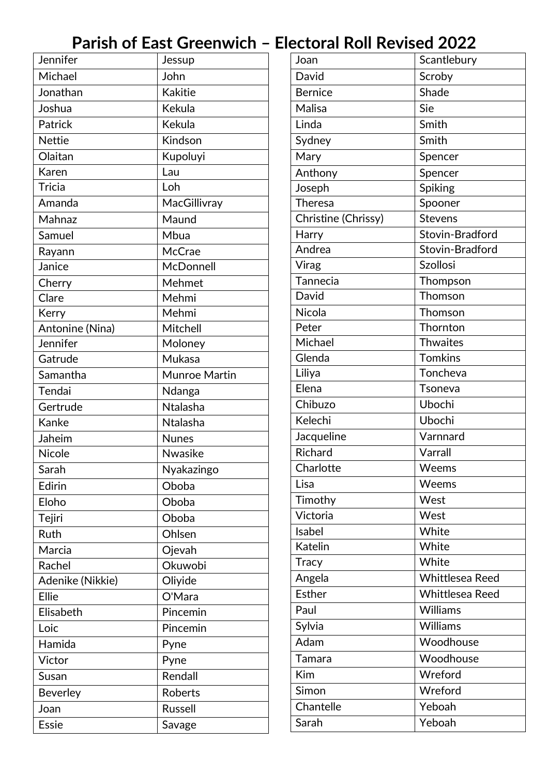## **Parish of East Greenwich – Electoral Roll Revised 2022**

| Jennifer         | Jessup         |
|------------------|----------------|
| Michael          | John           |
| Jonathan         | <b>Kakitie</b> |
| Joshua           | Kekula         |
| Patrick          | Kekula         |
| <b>Nettie</b>    | Kindson        |
| Olaitan          | Kupoluyi       |
| Karen            | Lau            |
| <b>Tricia</b>    | Loh            |
| Amanda           | MacGillivray   |
| Mahnaz           | Maund          |
| Samuel           | Mbua           |
| Rayann           | McCrae         |
| Janice           | McDonnell      |
| Cherry           | Mehmet         |
| Clare            | Mehmi          |
| Kerry            | Mehmi          |
| Antonine (Nina)  | Mitchell       |
| Jennifer         | Moloney        |
| Gatrude          | Mukasa         |
| Samantha         | Munroe Martin  |
| Tendai           | Ndanga         |
| Gertrude         | Ntalasha       |
| Kanke            | Ntalasha       |
| Jaheim           | <b>Nunes</b>   |
| Nicole           | <b>Nwasike</b> |
| Sarah            | Nyakazingo     |
| Edirin           | Oboba          |
| Eloho            | Oboba          |
| Tejiri           | Oboba          |
| Ruth             | Ohlsen         |
| Marcia           | Ojevah         |
| Rachel           | Okuwobi        |
| Adenike (Nikkie) | Oliyide        |
| Ellie            | O'Mara         |
| Elisabeth        | Pincemin       |
| Loic             | Pincemin       |
| Hamida           | Pyne           |
| Victor           | Pyne           |
| Susan            | Rendall        |
| <b>Beverley</b>  | Roberts        |
| Joan             | <b>Russell</b> |
| <b>Essie</b>     | Savage         |

| Joan                | Scantlebury            |
|---------------------|------------------------|
| David               | Scroby                 |
| <b>Bernice</b>      | Shade                  |
| Malisa              | Sie                    |
| Linda               | Smith                  |
| Sydney              | Smith                  |
| Mary                | Spencer                |
| Anthony             | Spencer                |
| Joseph              | Spiking                |
| Theresa             | Spooner                |
| Christine (Chrissy) | <b>Stevens</b>         |
| Harry               | Stovin-Bradford        |
| Andrea              | Stovin-Bradford        |
| Virag               | <b>Szollosi</b>        |
| Tannecia            | Thompson               |
| David               | Thomson                |
| Nicola              | Thomson                |
| Peter               | Thornton               |
| Michael             | <b>Thwaites</b>        |
| Glenda              | <b>Tomkins</b>         |
| Liliya              | Toncheva               |
| Elena               | Tsoneva                |
| Chibuzo             | Ubochi                 |
| Kelechi             | Ubochi                 |
| Jacqueline          | Varnnard               |
| Richard             | Varrall                |
| Charlotte           | Weems                  |
| Lisa                | Weems                  |
| Timothy             | West                   |
| Victoria            | West                   |
| Isabel              | White                  |
| Katelin             | White                  |
| Tracy               | White                  |
| Angela              | <b>Whittlesea Reed</b> |
| <b>Esther</b>       | <b>Whittlesea Reed</b> |
| Paul                | <b>Williams</b>        |
| Sylvia              | <b>Williams</b>        |
| Adam                | Woodhouse              |
| Tamara              | Woodhouse              |
| Kim                 | Wreford                |
| Simon               | Wreford                |
| Chantelle           | Yeboah                 |
| Sarah               | Yeboah                 |